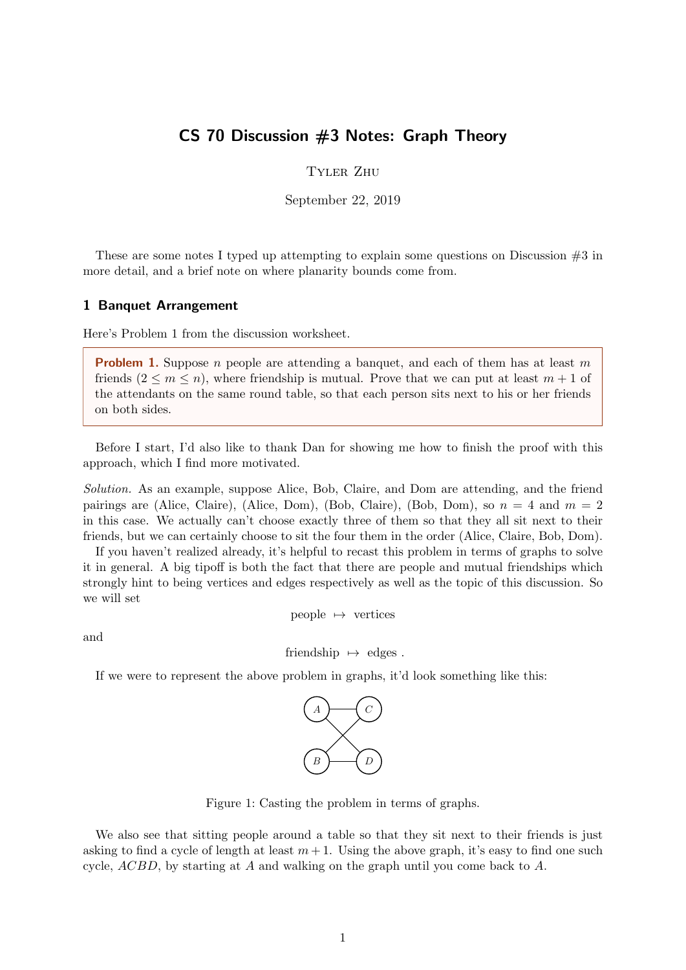# CS 70 Discussion #3 Notes: Graph Theory

Tyler Zhu

September 22, 2019

These are some notes I typed up attempting to explain some questions on Discussion  $#3$  in more detail, and a brief note on where planarity bounds come from.

#### 1 Banquet Arrangement

Here's Problem 1 from the discussion worksheet.

**Problem 1.** Suppose n people are attending a banquet, and each of them has at least m friends  $(2 \leq m \leq n)$ , where friendship is mutual. Prove that we can put at least  $m + 1$  of the attendants on the same round table, so that each person sits next to his or her friends on both sides.

Before I start, I'd also like to thank Dan for showing me how to finish the proof with this approach, which I find more motivated.

Solution. As an example, suppose Alice, Bob, Claire, and Dom are attending, and the friend pairings are (Alice, Claire), (Alice, Dom), (Bob, Claire), (Bob, Dom), so  $n = 4$  and  $m = 2$ in this case. We actually can't choose exactly three of them so that they all sit next to their friends, but we can certainly choose to sit the four them in the order (Alice, Claire, Bob, Dom).

If you haven't realized already, it's helpful to recast this problem in terms of graphs to solve it in general. A big tipoff is both the fact that there are people and mutual friendships which strongly hint to being vertices and edges respectively as well as the topic of this discussion. So we will set

people  $\mapsto$  vertices

and

friendship  $\mapsto$  edges .

If we were to represent the above problem in graphs, it'd look something like this:



Figure 1: Casting the problem in terms of graphs.

We also see that sitting people around a table so that they sit next to their friends is just asking to find a cycle of length at least  $m + 1$ . Using the above graph, it's easy to find one such cycle,  $ACBD$ , by starting at A and walking on the graph until you come back to A.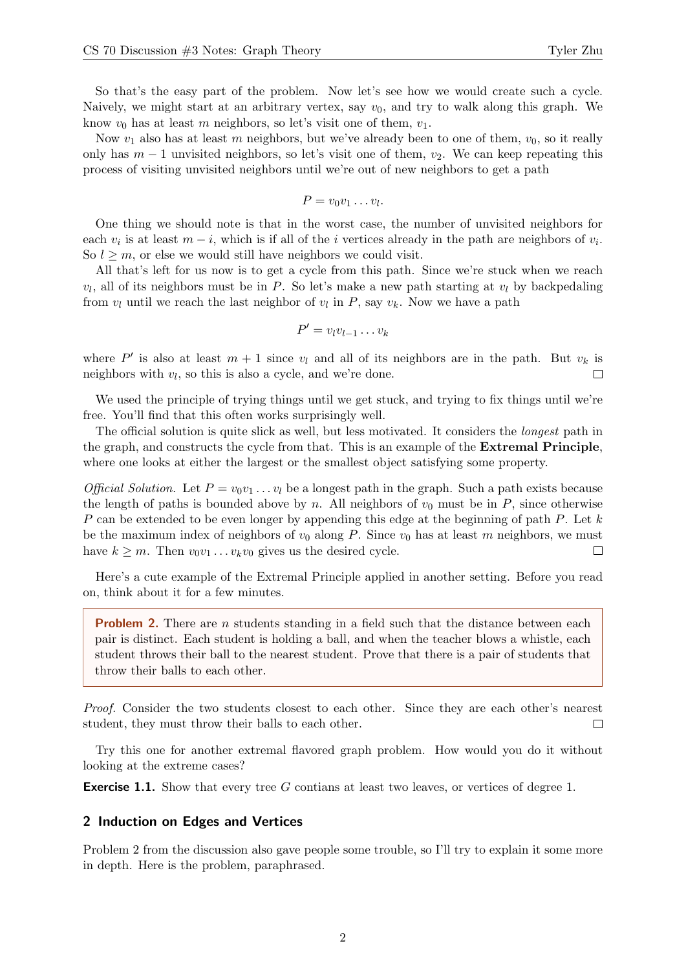So that's the easy part of the problem. Now let's see how we would create such a cycle. Naively, we might start at an arbitrary vertex, say  $v_0$ , and try to walk along this graph. We know  $v_0$  has at least m neighbors, so let's visit one of them,  $v_1$ .

Now  $v_1$  also has at least m neighbors, but we've already been to one of them,  $v_0$ , so it really only has  $m-1$  unvisited neighbors, so let's visit one of them,  $v_2$ . We can keep repeating this process of visiting unvisited neighbors until we're out of new neighbors to get a path

$$
P=v_0v_1\ldots v_l.
$$

One thing we should note is that in the worst case, the number of unvisited neighbors for each  $v_i$  is at least  $m - i$ , which is if all of the *i* vertices already in the path are neighbors of  $v_i$ . So  $l \geq m$ , or else we would still have neighbors we could visit.

All that's left for us now is to get a cycle from this path. Since we're stuck when we reach  $v_l$ , all of its neighbors must be in P. So let's make a new path starting at  $v_l$  by backpedaling from  $v_l$  until we reach the last neighbor of  $v_l$  in  $P$ , say  $v_k$ . Now we have a path

$$
P' = v_l v_{l-1} \dots v_k
$$

where P' is also at least  $m + 1$  since  $v_l$  and all of its neighbors are in the path. But  $v_k$  is neighbors with  $v_l$ , so this is also a cycle, and we're done.  $\Box$ 

We used the principle of trying things until we get stuck, and trying to fix things until we're free. You'll find that this often works surprisingly well.

The official solution is quite slick as well, but less motivated. It considers the longest path in the graph, and constructs the cycle from that. This is an example of the Extremal Principle, where one looks at either the largest or the smallest object satisfying some property.

*Official Solution.* Let  $P = v_0v_1 \ldots v_l$  be a longest path in the graph. Such a path exists because the length of paths is bounded above by n. All neighbors of  $v_0$  must be in P, since otherwise P can be extended to be even longer by appending this edge at the beginning of path P. Let  $k$ be the maximum index of neighbors of  $v_0$  along P. Since  $v_0$  has at least m neighbors, we must have  $k \geq m$ . Then  $v_0v_1 \ldots v_kv_0$  gives us the desired cycle.  $\Box$ 

Here's a cute example of the Extremal Principle applied in another setting. Before you read on, think about it for a few minutes.

**Problem 2.** There are *n* students standing in a field such that the distance between each pair is distinct. Each student is holding a ball, and when the teacher blows a whistle, each student throws their ball to the nearest student. Prove that there is a pair of students that throw their balls to each other.

Proof. Consider the two students closest to each other. Since they are each other's nearest student, they must throw their balls to each other.  $\Box$ 

Try this one for another extremal flavored graph problem. How would you do it without looking at the extreme cases?

**Exercise 1.1.** Show that every tree G contians at least two leaves, or vertices of degree 1.

#### 2 Induction on Edges and Vertices

Problem 2 from the discussion also gave people some trouble, so I'll try to explain it some more in depth. Here is the problem, paraphrased.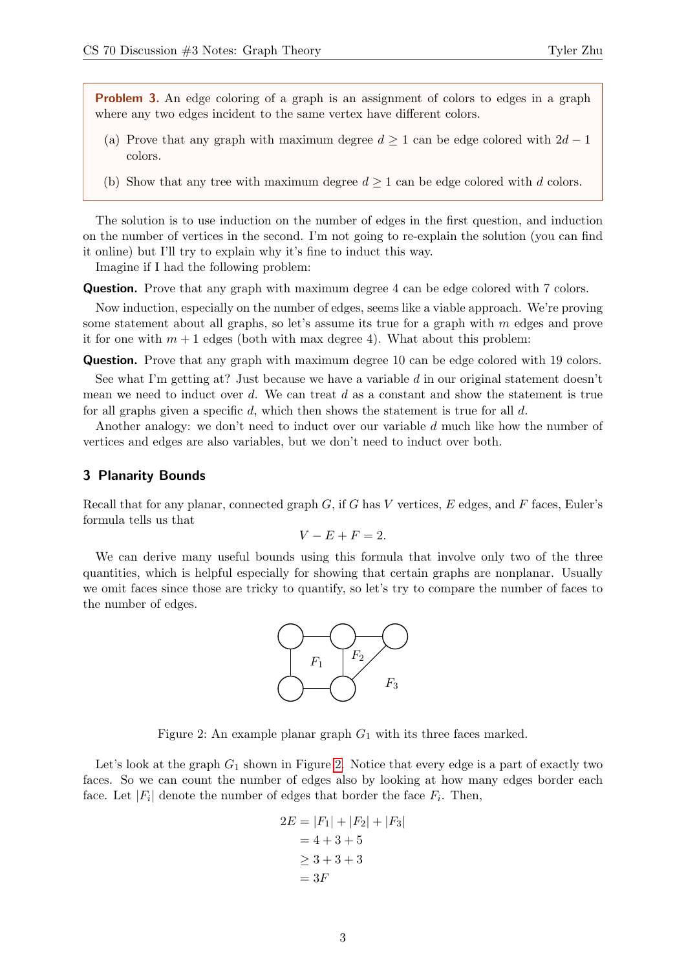**Problem 3.** An edge coloring of a graph is an assignment of colors to edges in a graph where any two edges incident to the same vertex have different colors.

- (a) Prove that any graph with maximum degree  $d \geq 1$  can be edge colored with  $2d 1$ colors.
- (b) Show that any tree with maximum degree  $d \geq 1$  can be edge colored with d colors.

The solution is to use induction on the number of edges in the first question, and induction on the number of vertices in the second. I'm not going to re-explain the solution (you can find it online) but I'll try to explain why it's fine to induct this way.

Imagine if I had the following problem:

Question. Prove that any graph with maximum degree 4 can be edge colored with 7 colors.

Now induction, especially on the number of edges, seems like a viable approach. We're proving some statement about all graphs, so let's assume its true for a graph with  $m$  edges and prove it for one with  $m + 1$  edges (both with max degree 4). What about this problem:

**Question.** Prove that any graph with maximum degree 10 can be edge colored with 19 colors.

See what I'm getting at? Just because we have a variable  $d$  in our original statement doesn't mean we need to induct over  $d$ . We can treat  $d$  as a constant and show the statement is true for all graphs given a specific d, which then shows the statement is true for all  $d$ .

Another analogy: we don't need to induct over our variable d much like how the number of vertices and edges are also variables, but we don't need to induct over both.

### 3 Planarity Bounds

Recall that for any planar, connected graph  $G$ , if G has V vertices, E edges, and F faces, Euler's formula tells us that

$$
V - E + F = 2.
$$

<span id="page-2-0"></span>We can derive many useful bounds using this formula that involve only two of the three quantities, which is helpful especially for showing that certain graphs are nonplanar. Usually we omit faces since those are tricky to quantify, so let's try to compare the number of faces to the number of edges.



Figure 2: An example planar graph  $G_1$  with its three faces marked.

Let's look at the graph  $G_1$  shown in Figure [2.](#page-2-0) Notice that every edge is a part of exactly two faces. So we can count the number of edges also by looking at how many edges border each face. Let  $|F_i|$  denote the number of edges that border the face  $F_i$ . Then,

$$
2E = |F_1| + |F_2| + |F_3|
$$
  
= 4 + 3 + 5  

$$
\ge 3 + 3 + 3
$$
  
= 3F